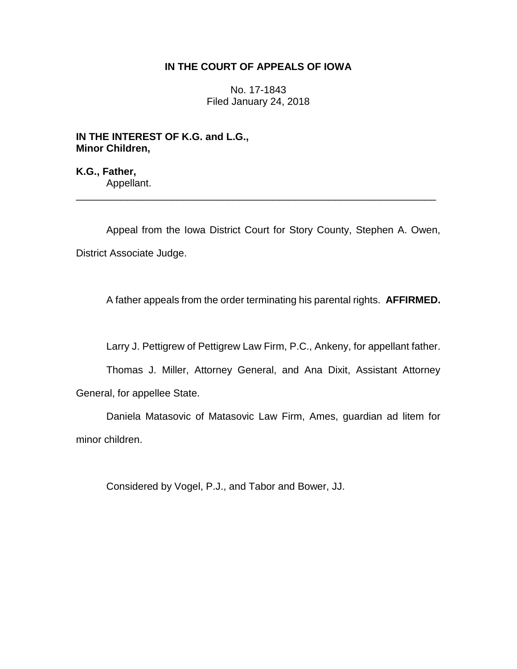# **IN THE COURT OF APPEALS OF IOWA**

No. 17-1843 Filed January 24, 2018

**IN THE INTEREST OF K.G. and L.G., Minor Children,**

**K.G., Father,** Appellant.

Appeal from the Iowa District Court for Story County, Stephen A. Owen, District Associate Judge.

\_\_\_\_\_\_\_\_\_\_\_\_\_\_\_\_\_\_\_\_\_\_\_\_\_\_\_\_\_\_\_\_\_\_\_\_\_\_\_\_\_\_\_\_\_\_\_\_\_\_\_\_\_\_\_\_\_\_\_\_\_\_\_\_

A father appeals from the order terminating his parental rights. **AFFIRMED.**

Larry J. Pettigrew of Pettigrew Law Firm, P.C., Ankeny, for appellant father.

Thomas J. Miller, Attorney General, and Ana Dixit, Assistant Attorney General, for appellee State.

Daniela Matasovic of Matasovic Law Firm, Ames, guardian ad litem for minor children.

Considered by Vogel, P.J., and Tabor and Bower, JJ.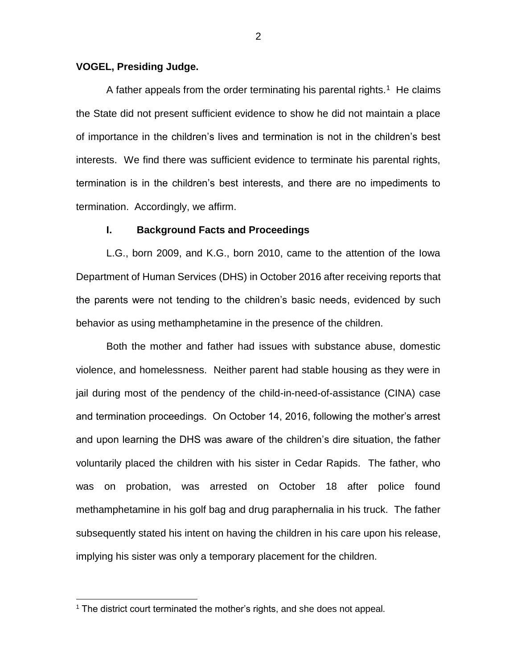#### **VOGEL, Presiding Judge.**

A father appeals from the order terminating his parental rights.<sup>1</sup> He claims the State did not present sufficient evidence to show he did not maintain a place of importance in the children's lives and termination is not in the children's best interests. We find there was sufficient evidence to terminate his parental rights, termination is in the children's best interests, and there are no impediments to termination. Accordingly, we affirm.

#### **I. Background Facts and Proceedings**

L.G., born 2009, and K.G., born 2010, came to the attention of the Iowa Department of Human Services (DHS) in October 2016 after receiving reports that the parents were not tending to the children's basic needs, evidenced by such behavior as using methamphetamine in the presence of the children.

Both the mother and father had issues with substance abuse, domestic violence, and homelessness. Neither parent had stable housing as they were in jail during most of the pendency of the child-in-need-of-assistance (CINA) case and termination proceedings. On October 14, 2016, following the mother's arrest and upon learning the DHS was aware of the children's dire situation, the father voluntarily placed the children with his sister in Cedar Rapids. The father, who was on probation, was arrested on October 18 after police found methamphetamine in his golf bag and drug paraphernalia in his truck. The father subsequently stated his intent on having the children in his care upon his release, implying his sister was only a temporary placement for the children.

 $\overline{a}$ 

<sup>&</sup>lt;sup>1</sup> The district court terminated the mother's rights, and she does not appeal.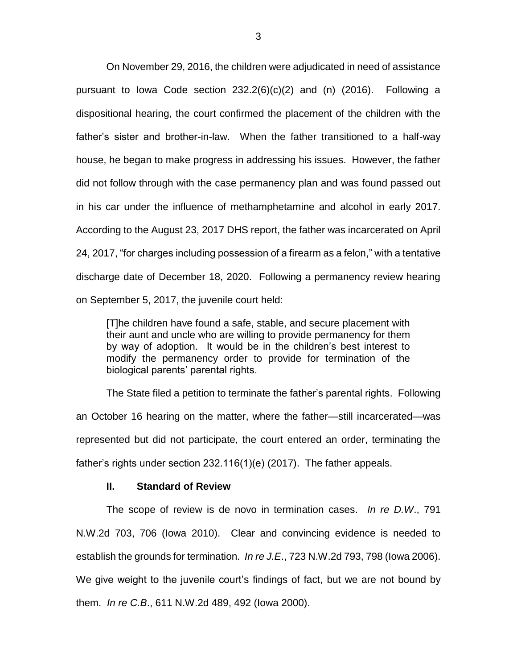On November 29, 2016, the children were adjudicated in need of assistance pursuant to Iowa Code section  $232.2(6)(c)(2)$  and (n) (2016). Following a dispositional hearing, the court confirmed the placement of the children with the father's sister and brother-in-law. When the father transitioned to a half-way house, he began to make progress in addressing his issues. However, the father did not follow through with the case permanency plan and was found passed out in his car under the influence of methamphetamine and alcohol in early 2017. According to the August 23, 2017 DHS report, the father was incarcerated on April 24, 2017, "for charges including possession of a firearm as a felon," with a tentative discharge date of December 18, 2020. Following a permanency review hearing on September 5, 2017, the juvenile court held:

[T]he children have found a safe, stable, and secure placement with their aunt and uncle who are willing to provide permanency for them by way of adoption. It would be in the children's best interest to modify the permanency order to provide for termination of the biological parents' parental rights.

The State filed a petition to terminate the father's parental rights. Following an October 16 hearing on the matter, where the father—still incarcerated—was represented but did not participate, the court entered an order, terminating the father's rights under section 232.116(1)(e) (2017). The father appeals.

#### **II. Standard of Review**

The scope of review is de novo in termination cases. *In re D.W*., 791 N.W.2d 703, 706 (Iowa 2010). Clear and convincing evidence is needed to establish the grounds for termination. *In re J.E*., 723 N.W.2d 793, 798 (Iowa 2006). We give weight to the juvenile court's findings of fact, but we are not bound by them. *In re C.B*., 611 N.W.2d 489, 492 (Iowa 2000).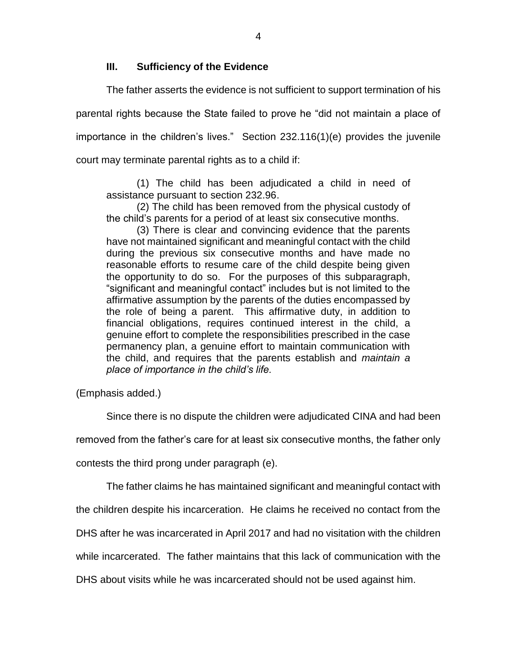## **III. Sufficiency of the Evidence**

The father asserts the evidence is not sufficient to support termination of his parental rights because the State failed to prove he "did not maintain a place of importance in the children's lives." Section 232.116(1)(e) provides the juvenile court may terminate parental rights as to a child if:

(1) The child has been adjudicated a child in need of assistance pursuant to section 232.96.

(2) The child has been removed from the physical custody of the child's parents for a period of at least six consecutive months.

(3) There is clear and convincing evidence that the parents have not maintained significant and meaningful contact with the child during the previous six consecutive months and have made no reasonable efforts to resume care of the child despite being given the opportunity to do so. For the purposes of this subparagraph, "significant and meaningful contact" includes but is not limited to the affirmative assumption by the parents of the duties encompassed by the role of being a parent. This affirmative duty, in addition to financial obligations, requires continued interest in the child, a genuine effort to complete the responsibilities prescribed in the case permanency plan, a genuine effort to maintain communication with the child, and requires that the parents establish and *maintain a place of importance in the child's life.* 

(Emphasis added.)

Since there is no dispute the children were adjudicated CINA and had been

removed from the father's care for at least six consecutive months, the father only

contests the third prong under paragraph (e).

The father claims he has maintained significant and meaningful contact with

the children despite his incarceration. He claims he received no contact from the

DHS after he was incarcerated in April 2017 and had no visitation with the children

while incarcerated. The father maintains that this lack of communication with the

DHS about visits while he was incarcerated should not be used against him.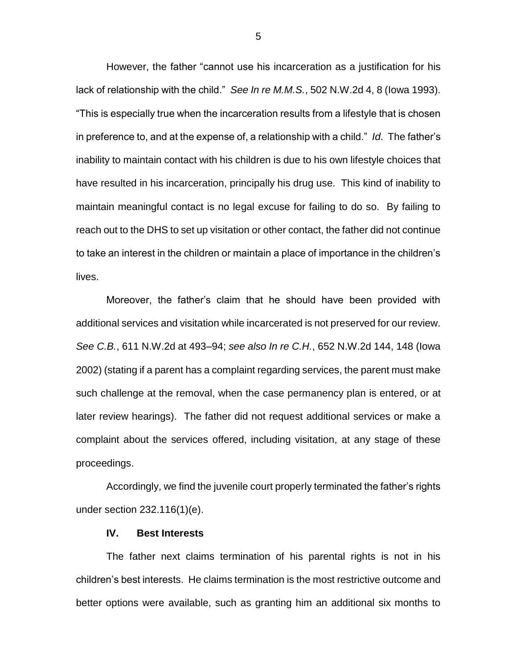However, the father "cannot use his incarceration as a justification for his lack of relationship with the child." *See In re M.M.S.*, 502 N.W.2d 4, 8 (Iowa 1993). "This is especially true when the incarceration results from a lifestyle that is chosen in preference to, and at the expense of, a relationship with a child." *Id*. The father's inability to maintain contact with his children is due to his own lifestyle choices that have resulted in his incarceration, principally his drug use. This kind of inability to maintain meaningful contact is no legal excuse for failing to do so. By failing to reach out to the DHS to set up visitation or other contact, the father did not continue to take an interest in the children or maintain a place of importance in the children's lives.

Moreover, the father's claim that he should have been provided with additional services and visitation while incarcerated is not preserved for our review. *See C.B.*, 611 N.W.2d at 493–94; *see also In re C.H.*, 652 N.W.2d 144, 148 (Iowa 2002) (stating if a parent has a complaint regarding services, the parent must make such challenge at the removal, when the case permanency plan is entered, or at later review hearings). The father did not request additional services or make a complaint about the services offered, including visitation, at any stage of these proceedings.

Accordingly, we find the juvenile court properly terminated the father's rights under section 232.116(1)(e).

## **IV. Best Interests**

The father next claims termination of his parental rights is not in his children's best interests. He claims termination is the most restrictive outcome and better options were available, such as granting him an additional six months to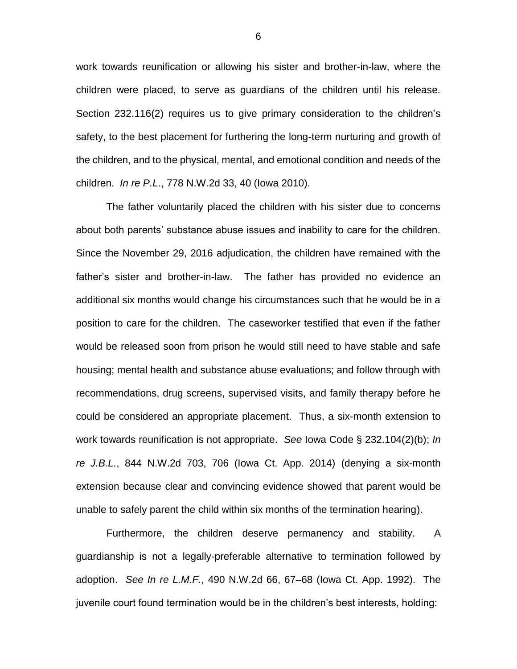work towards reunification or allowing his sister and brother-in-law, where the children were placed, to serve as guardians of the children until his release. Section 232.116(2) requires us to give primary consideration to the children's safety, to the best placement for furthering the long-term nurturing and growth of the children, and to the physical, mental, and emotional condition and needs of the children. *In re P.L*., 778 N.W.2d 33, 40 (Iowa 2010).

The father voluntarily placed the children with his sister due to concerns about both parents' substance abuse issues and inability to care for the children. Since the November 29, 2016 adjudication, the children have remained with the father's sister and brother-in-law. The father has provided no evidence an additional six months would change his circumstances such that he would be in a position to care for the children. The caseworker testified that even if the father would be released soon from prison he would still need to have stable and safe housing; mental health and substance abuse evaluations; and follow through with recommendations, drug screens, supervised visits, and family therapy before he could be considered an appropriate placement. Thus, a six-month extension to work towards reunification is not appropriate. *See* Iowa Code § 232.104(2)(b); *In re J.B.L.*, 844 N.W.2d 703, 706 (Iowa Ct. App. 2014) (denying a six-month extension because clear and convincing evidence showed that parent would be unable to safely parent the child within six months of the termination hearing).

Furthermore, the children deserve permanency and stability. A guardianship is not a legally-preferable alternative to termination followed by adoption. *See In re L.M.F.*, 490 N.W.2d 66, 67–68 (Iowa Ct. App. 1992). The juvenile court found termination would be in the children's best interests, holding:

6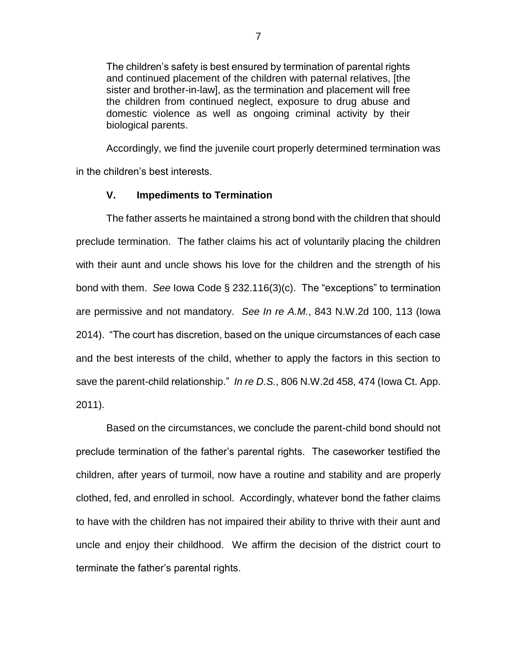The children's safety is best ensured by termination of parental rights and continued placement of the children with paternal relatives, [the sister and brother-in-law], as the termination and placement will free the children from continued neglect, exposure to drug abuse and domestic violence as well as ongoing criminal activity by their biological parents.

Accordingly, we find the juvenile court properly determined termination was in the children's best interests.

## **V. Impediments to Termination**

The father asserts he maintained a strong bond with the children that should preclude termination. The father claims his act of voluntarily placing the children with their aunt and uncle shows his love for the children and the strength of his bond with them. *See* Iowa Code § 232.116(3)(c). The "exceptions" to termination are permissive and not mandatory. *See In re A.M.*, 843 N.W.2d 100, 113 (Iowa 2014). "The court has discretion, based on the unique circumstances of each case and the best interests of the child, whether to apply the factors in this section to save the parent-child relationship." *In re D.S.*, 806 N.W.2d 458, 474 (Iowa Ct. App. 2011).

Based on the circumstances, we conclude the parent-child bond should not preclude termination of the father's parental rights. The caseworker testified the children, after years of turmoil, now have a routine and stability and are properly clothed, fed, and enrolled in school. Accordingly, whatever bond the father claims to have with the children has not impaired their ability to thrive with their aunt and uncle and enjoy their childhood. We affirm the decision of the district court to terminate the father's parental rights.